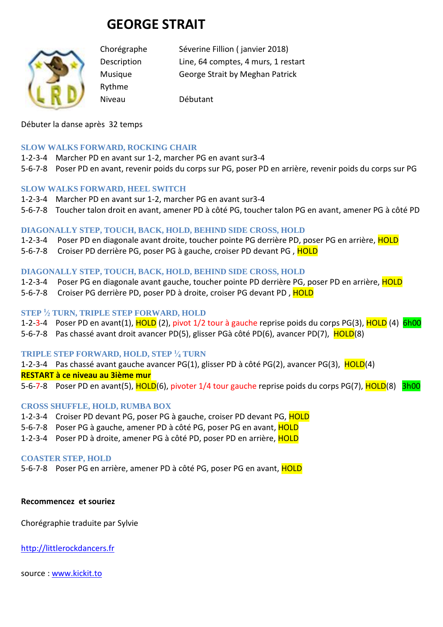# **GEORGE STRAIT**



Rythme

Chorégraphe Séverine Fillion ( janvier 2018) Description Line, 64 comptes, 4 murs, 1 restart Musique George Strait by Meghan Patrick

Niveau Débutant

Débuter la danse après 32 temps

# **SLOW WALKS FORWARD, ROCKING CHAIR**

- 1-2-3-4 Marcher PD en avant sur 1-2, marcher PG en avant sur3-4
- 5-6-7-8 Poser PD en avant, revenir poids du corps sur PG, poser PD en arrière, revenir poids du corps sur PG

## **SLOW WALKS FORWARD, HEEL SWITCH**

- 1-2-3-4 Marcher PD en avant sur 1-2, marcher PG en avant sur3-4
- 5-6-7-8 Toucher talon droit en avant, amener PD à côté PG, toucher talon PG en avant, amener PG à côté PD

## **DIAGONALLY STEP, TOUCH, BACK, HOLD, BEHIND SIDE CROSS, HOLD**

- 1-2-3-4 Poser PD en diagonale avant droite, toucher pointe PG derrière PD, poser PG en arrière, HOLD
- 5-6-7-8 Croiser PD derrière PG, poser PG à gauche, croiser PD devant PG, HOLD

## **DIAGONALLY STEP, TOUCH, BACK, HOLD, BEHIND SIDE CROSS, HOLD**

- 1-2-3-4 Poser PG en diagonale avant gauche, toucher pointe PD derrière PG, poser PD en arrière, HOLD
- 5-6-7-8 Croiser PG derrière PD, poser PD à droite, croiser PG devant PD, HOLD

#### **STEP <sup>1</sup> ⁄<sup>2</sup> TURN, TRIPLE STEP FORWARD, HOLD**

- 1-2-3-4 Poser PD en avant(1), HOLD (2), pivot 1/2 tour à gauche reprise poids du corps PG(3), HOLD (4) 6h00
- 5-6-7-8 Pas chassé avant droit avancer PD(5), glisser PGà côté PD(6), avancer PD(7), HOLD(8)

#### **TRIPLE STEP FORWARD, HOLD, STEP <sup>1</sup> ⁄<sup>4</sup> TURN**

1-2-3-4 Pas chassé avant gauche avancer PG(1), glisser PD à côté PG(2), avancer PG(3), HOLD(4)

#### **RESTART à ce niveau au 3ième mur**

5-6-7-8 Poser PD en avant(5), HOLD(6), pivoter 1/4 tour gauche reprise poids du corps PG(7), HOLD(8) 3h00

# **CROSS SHUFFLE, HOLD, RUMBA BOX**

- 1-2-3-4 Croiser PD devant PG, poser PG à gauche, croiser PD devant PG, HOLD
- 5-6-7-8 Poser PG à gauche, amener PD à côté PG, poser PG en avant, HOLD
- 1-2-3-4 Poser PD à droite, amener PG à côté PD, poser PD en arrière, HOLD

#### **COASTER STEP, HOLD**

5-6-7-8 Poser PG en arrière, amener PD à côté PG, poser PG en avant, HOLD

#### **Recommencez et souriez**

Chorégraphie traduite par Sylvie

[http://littlerockdancers.fr](http://littlerockdancers.fr/) 

source : [www.kickit.to](http://www.kickit.to/)